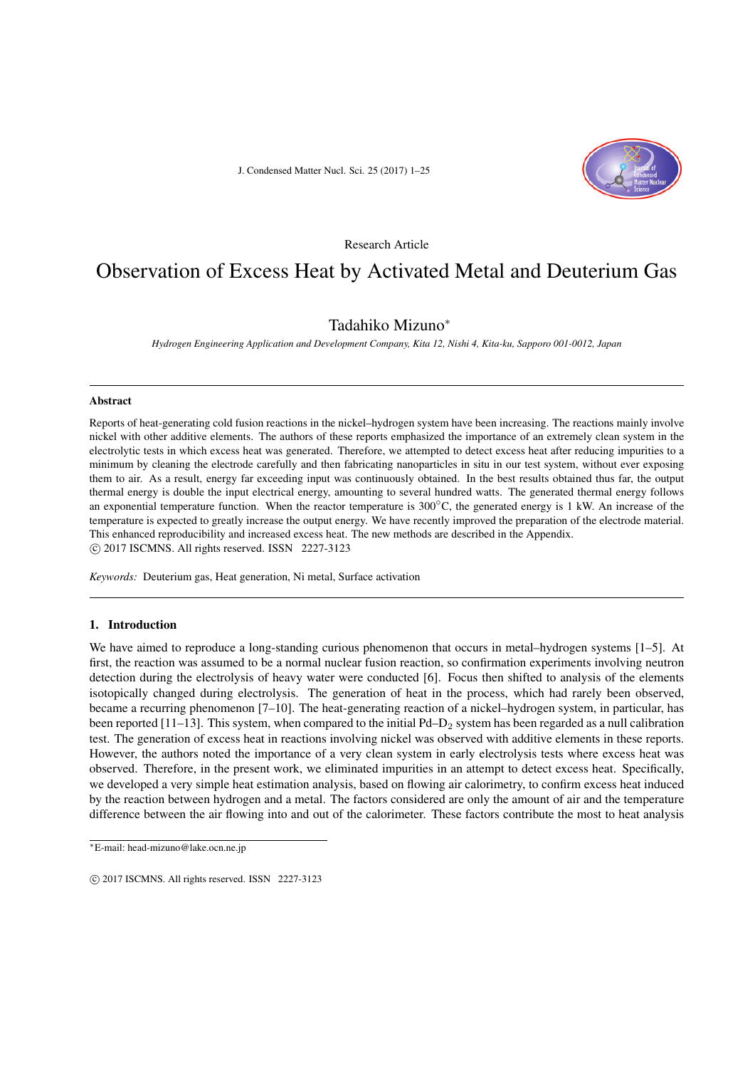J. Condensed Matter Nucl. Sci. 25 (2017) 1–25



Research Article

# Observation of Excess Heat by Activated Metal and Deuterium Gas

## Tadahiko Mizuno*<sup>∗</sup>*

*Hydrogen Engineering Application and Development Company, Kita 12, Nishi 4, Kita-ku, Sapporo 001-0012, Japan*

#### Abstract

Reports of heat-generating cold fusion reactions in the nickel–hydrogen system have been increasing. The reactions mainly involve nickel with other additive elements. The authors of these reports emphasized the importance of an extremely clean system in the electrolytic tests in which excess heat was generated. Therefore, we attempted to detect excess heat after reducing impurities to a minimum by cleaning the electrode carefully and then fabricating nanoparticles in situ in our test system, without ever exposing them to air. As a result, energy far exceeding input was continuously obtained. In the best results obtained thus far, the output thermal energy is double the input electrical energy, amounting to several hundred watts. The generated thermal energy follows an exponential temperature function. When the reactor temperature is 300*◦*C, the generated energy is 1 kW. An increase of the temperature is expected to greatly increase the output energy. We have recently improved the preparation of the electrode material. This enhanced reproducibility and increased excess heat. The new methods are described in the Appendix. *⃝*c 2017 ISCMNS. All rights reserved. ISSN 2227-3123

*Keywords:* Deuterium gas, Heat generation, Ni metal, Surface activation

### 1. Introduction

We have aimed to reproduce a long-standing curious phenomenon that occurs in metal–hydrogen systems [1–5]. At first, the reaction was assumed to be a normal nuclear fusion reaction, so confirmation experiments involving neutron detection during the electrolysis of heavy water were conducted [6]. Focus then shifted to analysis of the elements isotopically changed during electrolysis. The generation of heat in the process, which had rarely been observed, became a recurring phenomenon [7–10]. The heat-generating reaction of a nickel–hydrogen system, in particular, has been reported  $[11-13]$ . This system, when compared to the initial Pd–D<sub>2</sub> system has been regarded as a null calibration test. The generation of excess heat in reactions involving nickel was observed with additive elements in these reports. However, the authors noted the importance of a very clean system in early electrolysis tests where excess heat was observed. Therefore, in the present work, we eliminated impurities in an attempt to detect excess heat. Specifically, we developed a very simple heat estimation analysis, based on flowing air calorimetry, to confirm excess heat induced by the reaction between hydrogen and a metal. The factors considered are only the amount of air and the temperature difference between the air flowing into and out of the calorimeter. These factors contribute the most to heat analysis

*<sup>∗</sup>*E-mail: head-mizuno@lake.ocn.ne.jp

*<sup>⃝</sup>*c 2017 ISCMNS. All rights reserved. ISSN 2227-3123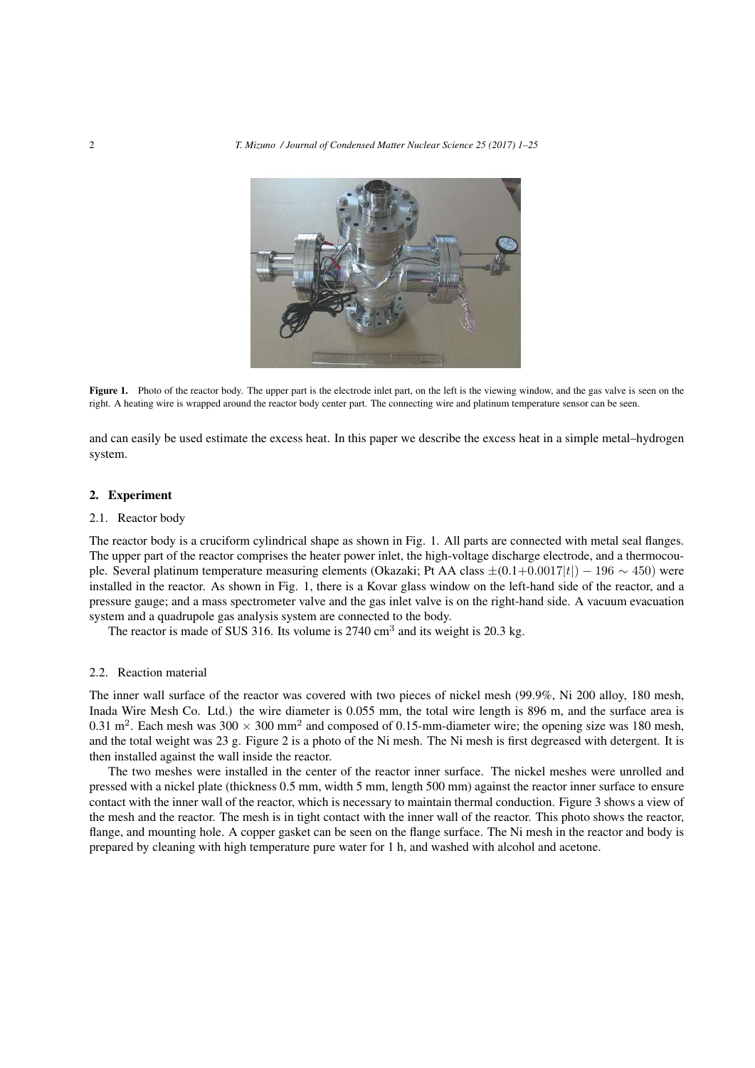2 *T. Mizuno / Journal of Condensed Matter Nuclear Science 25 (2017) 1–25*



Figure 1. Photo of the reactor body. The upper part is the electrode inlet part, on the left is the viewing window, and the gas valve is seen on the right. A heating wire is wrapped around the reactor body center part. The connecting wire and platinum temperature sensor can be seen.

and can easily be used estimate the excess heat. In this paper we describe the excess heat in a simple metal–hydrogen system.

## 2. Experiment

#### 2.1. Reactor body

The reactor body is a cruciform cylindrical shape as shown in Fig. 1. All parts are connected with metal seal flanges. The upper part of the reactor comprises the heater power inlet, the high-voltage discharge electrode, and a thermocouple. Several platinum temperature measuring elements (Okazaki; Pt AA class *±*(0.1+0*.*0017*|t|*) *−* 196 *∼* 450) were installed in the reactor. As shown in Fig. 1, there is a Kovar glass window on the left-hand side of the reactor, and a pressure gauge; and a mass spectrometer valve and the gas inlet valve is on the right-hand side. A vacuum evacuation system and a quadrupole gas analysis system are connected to the body.

The reactor is made of SUS 316. Its volume is  $2740 \text{ cm}^3$  and its weight is 20.3 kg.

#### 2.2. Reaction material

The inner wall surface of the reactor was covered with two pieces of nickel mesh (99.9%, Ni 200 alloy, 180 mesh, Inada Wire Mesh Co. Ltd.) the wire diameter is 0.055 mm, the total wire length is 896 m, and the surface area is 0.31 m<sup>2</sup>. Each mesh was  $300 \times 300$  mm<sup>2</sup> and composed of 0.15-mm-diameter wire; the opening size was 180 mesh, and the total weight was 23 g. Figure 2 is a photo of the Ni mesh. The Ni mesh is first degreased with detergent. It is then installed against the wall inside the reactor.

The two meshes were installed in the center of the reactor inner surface. The nickel meshes were unrolled and pressed with a nickel plate (thickness 0.5 mm, width 5 mm, length 500 mm) against the reactor inner surface to ensure contact with the inner wall of the reactor, which is necessary to maintain thermal conduction. Figure 3 shows a view of the mesh and the reactor. The mesh is in tight contact with the inner wall of the reactor. This photo shows the reactor, flange, and mounting hole. A copper gasket can be seen on the flange surface. The Ni mesh in the reactor and body is prepared by cleaning with high temperature pure water for 1 h, and washed with alcohol and acetone.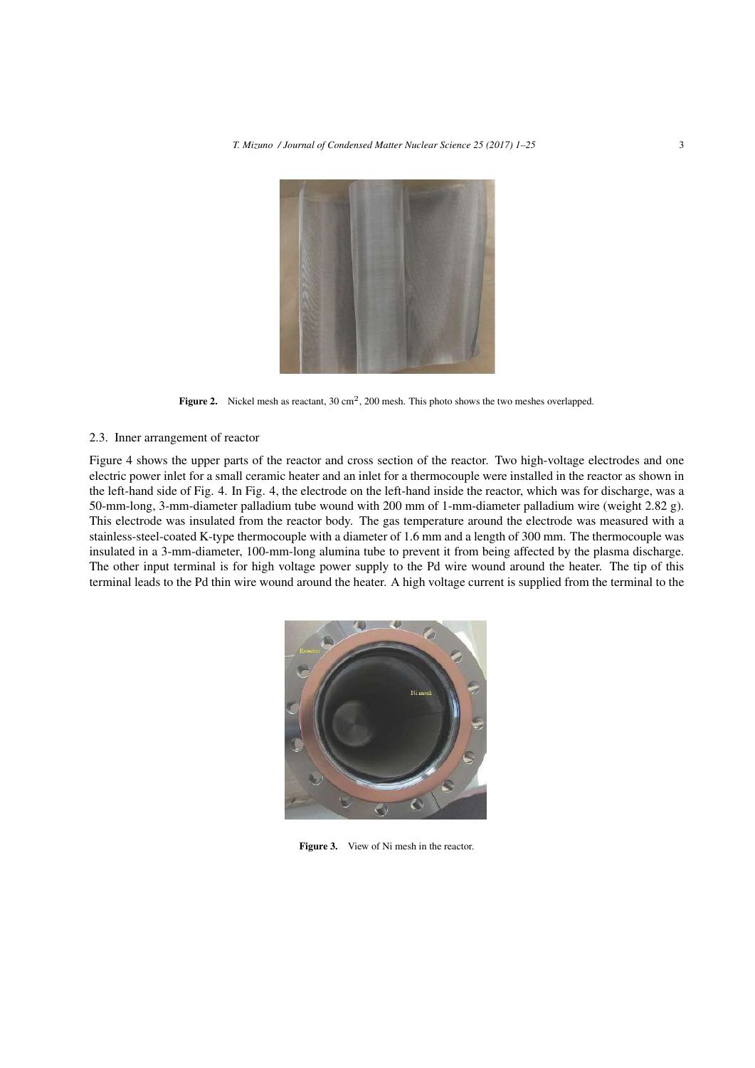

Figure 2. Nickel mesh as reactant,  $30 \text{ cm}^2$ ,  $200 \text{ mesh}$ . This photo shows the two meshes overlapped.

## 2.3. Inner arrangement of reactor

Figure 4 shows the upper parts of the reactor and cross section of the reactor. Two high-voltage electrodes and one electric power inlet for a small ceramic heater and an inlet for a thermocouple were installed in the reactor as shown in the left-hand side of Fig. 4. In Fig. 4, the electrode on the left-hand inside the reactor, which was for discharge, was a 50-mm-long, 3-mm-diameter palladium tube wound with 200 mm of 1-mm-diameter palladium wire (weight 2.82 g). This electrode was insulated from the reactor body. The gas temperature around the electrode was measured with a stainless-steel-coated K-type thermocouple with a diameter of 1.6 mm and a length of 300 mm. The thermocouple was insulated in a 3-mm-diameter, 100-mm-long alumina tube to prevent it from being affected by the plasma discharge. The other input terminal is for high voltage power supply to the Pd wire wound around the heater. The tip of this terminal leads to the Pd thin wire wound around the heater. A high voltage current is supplied from the terminal to the



Figure 3. View of Ni mesh in the reactor.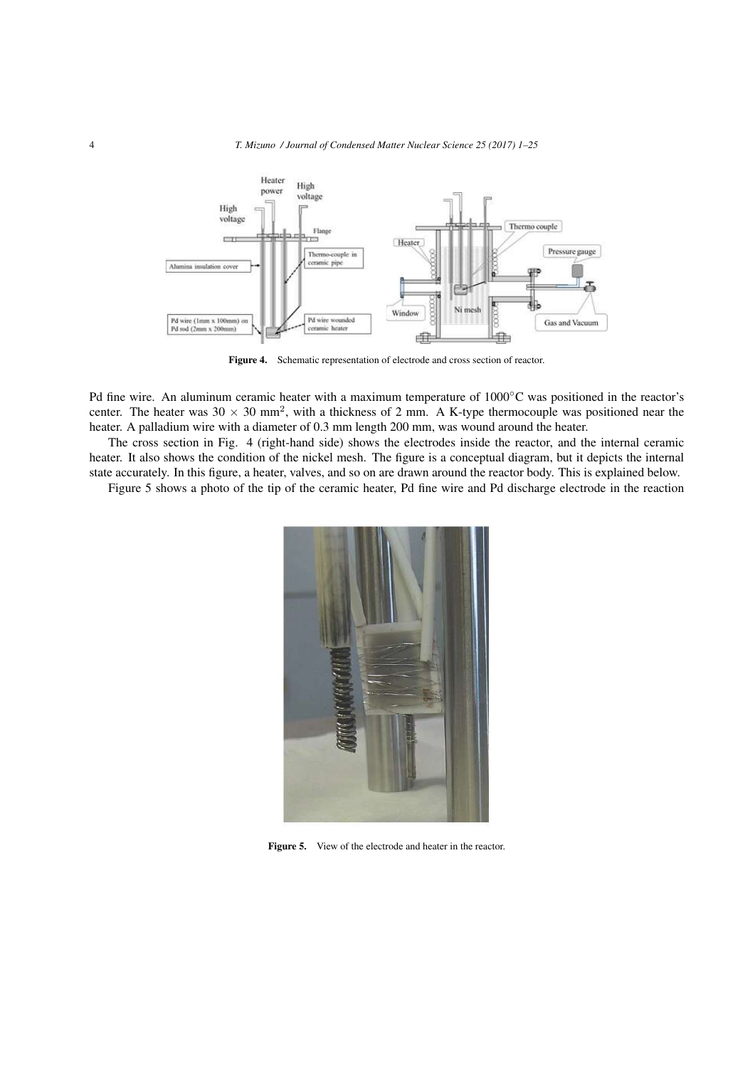

Figure 4. Schematic representation of electrode and cross section of reactor.

Pd fine wire. An aluminum ceramic heater with a maximum temperature of 1000*◦*C was positioned in the reactor's center. The heater was  $30 \times 30$  mm<sup>2</sup>, with a thickness of 2 mm. A K-type thermocouple was positioned near the heater. A palladium wire with a diameter of 0.3 mm length 200 mm, was wound around the heater.

The cross section in Fig. 4 (right-hand side) shows the electrodes inside the reactor, and the internal ceramic heater. It also shows the condition of the nickel mesh. The figure is a conceptual diagram, but it depicts the internal state accurately. In this figure, a heater, valves, and so on are drawn around the reactor body. This is explained below.

Figure 5 shows a photo of the tip of the ceramic heater, Pd fine wire and Pd discharge electrode in the reaction



Figure 5. View of the electrode and heater in the reactor.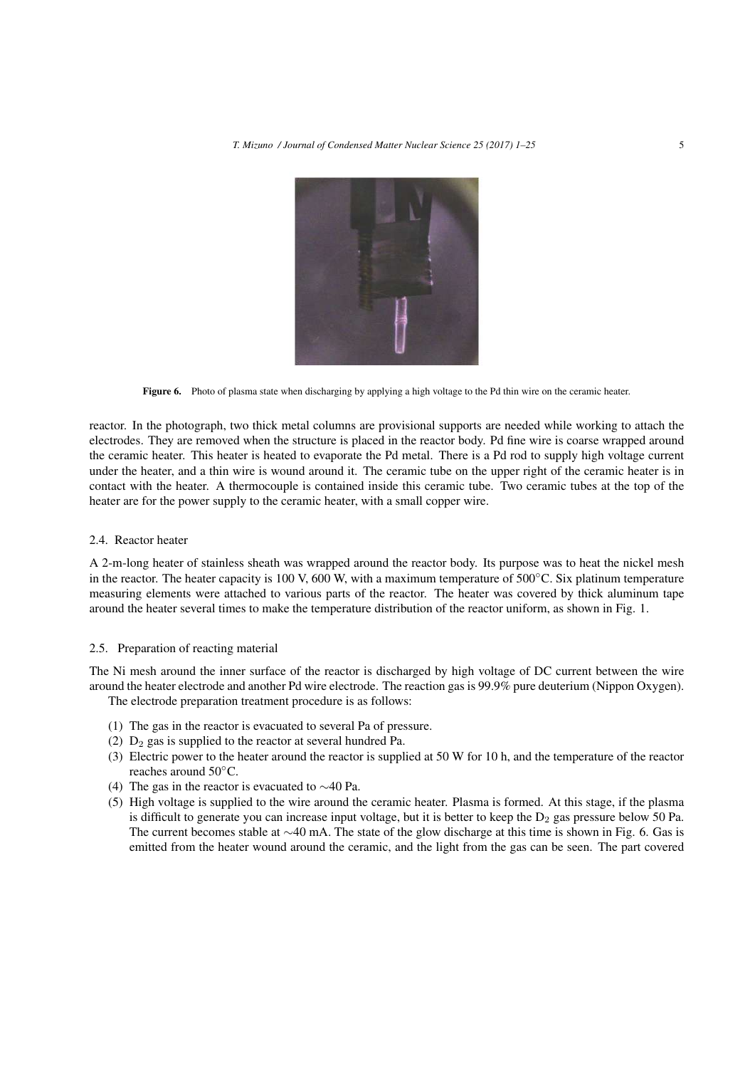

Figure 6. Photo of plasma state when discharging by applying a high voltage to the Pd thin wire on the ceramic heater.

reactor. In the photograph, two thick metal columns are provisional supports are needed while working to attach the electrodes. They are removed when the structure is placed in the reactor body. Pd fine wire is coarse wrapped around the ceramic heater. This heater is heated to evaporate the Pd metal. There is a Pd rod to supply high voltage current under the heater, and a thin wire is wound around it. The ceramic tube on the upper right of the ceramic heater is in contact with the heater. A thermocouple is contained inside this ceramic tube. Two ceramic tubes at the top of the heater are for the power supply to the ceramic heater, with a small copper wire.

#### 2.4. Reactor heater

A 2-m-long heater of stainless sheath was wrapped around the reactor body. Its purpose was to heat the nickel mesh in the reactor. The heater capacity is 100 V, 600 W, with a maximum temperature of 500*◦*C. Six platinum temperature measuring elements were attached to various parts of the reactor. The heater was covered by thick aluminum tape around the heater several times to make the temperature distribution of the reactor uniform, as shown in Fig. 1.

#### 2.5. Preparation of reacting material

The Ni mesh around the inner surface of the reactor is discharged by high voltage of DC current between the wire around the heater electrode and another Pd wire electrode. The reaction gas is 99.9% pure deuterium (Nippon Oxygen). The electrode preparation treatment procedure is as follows:

- (1) The gas in the reactor is evacuated to several Pa of pressure.
- (2)  $D_2$  gas is supplied to the reactor at several hundred Pa.
- (3) Electric power to the heater around the reactor is supplied at 50 W for 10 h, and the temperature of the reactor reaches around 50*◦*C.
- (4) The gas in the reactor is evacuated to *∼*40 Pa.
- (5) High voltage is supplied to the wire around the ceramic heater. Plasma is formed. At this stage, if the plasma is difficult to generate you can increase input voltage, but it is better to keep the  $D_2$  gas pressure below 50 Pa. The current becomes stable at *∼*40 mA. The state of the glow discharge at this time is shown in Fig. 6. Gas is emitted from the heater wound around the ceramic, and the light from the gas can be seen. The part covered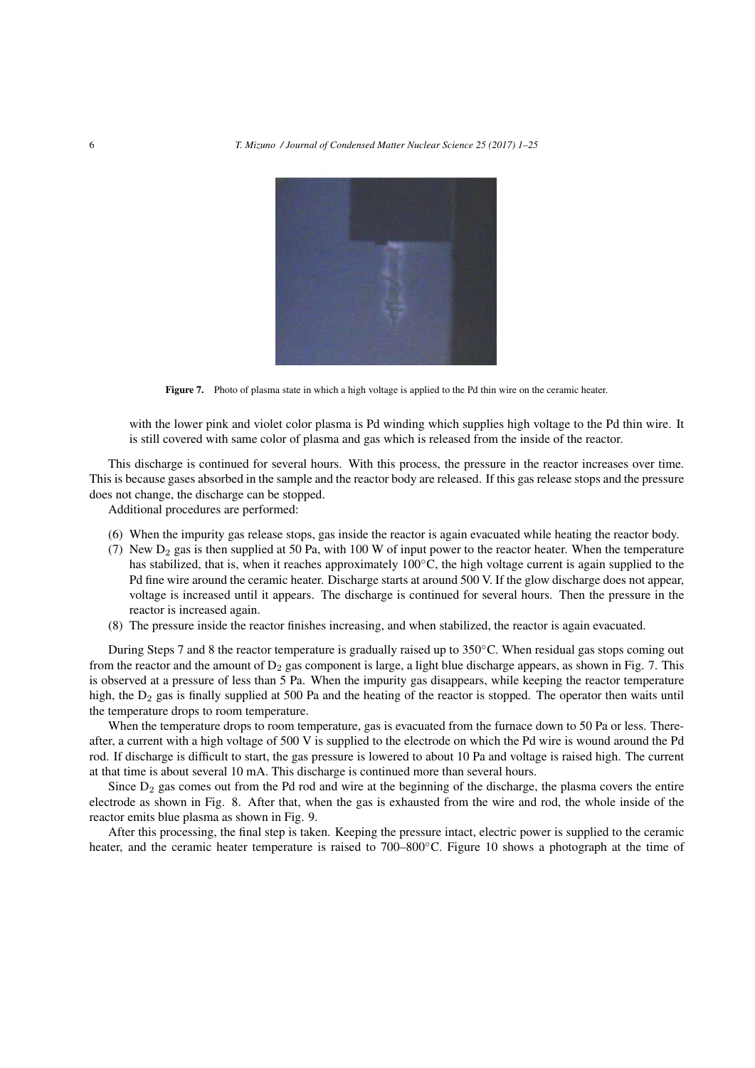

Figure 7. Photo of plasma state in which a high voltage is applied to the Pd thin wire on the ceramic heater.

with the lower pink and violet color plasma is Pd winding which supplies high voltage to the Pd thin wire. It is still covered with same color of plasma and gas which is released from the inside of the reactor.

This discharge is continued for several hours. With this process, the pressure in the reactor increases over time. This is because gases absorbed in the sample and the reactor body are released. If this gas release stops and the pressure does not change, the discharge can be stopped.

Additional procedures are performed:

- (6) When the impurity gas release stops, gas inside the reactor is again evacuated while heating the reactor body.
- (7) New  $D_2$  gas is then supplied at 50 Pa, with 100 W of input power to the reactor heater. When the temperature has stabilized, that is, when it reaches approximately 100*◦*C, the high voltage current is again supplied to the Pd fine wire around the ceramic heater. Discharge starts at around 500 V. If the glow discharge does not appear, voltage is increased until it appears. The discharge is continued for several hours. Then the pressure in the reactor is increased again.
- (8) The pressure inside the reactor finishes increasing, and when stabilized, the reactor is again evacuated.

During Steps 7 and 8 the reactor temperature is gradually raised up to 350*◦*C. When residual gas stops coming out from the reactor and the amount of  $D_2$  gas component is large, a light blue discharge appears, as shown in Fig. 7. This is observed at a pressure of less than 5 Pa. When the impurity gas disappears, while keeping the reactor temperature high, the  $D_2$  gas is finally supplied at 500 Pa and the heating of the reactor is stopped. The operator then waits until the temperature drops to room temperature.

When the temperature drops to room temperature, gas is evacuated from the furnace down to 50 Pa or less. Thereafter, a current with a high voltage of 500 V is supplied to the electrode on which the Pd wire is wound around the Pd rod. If discharge is difficult to start, the gas pressure is lowered to about 10 Pa and voltage is raised high. The current at that time is about several 10 mA. This discharge is continued more than several hours.

Since  $D_2$  gas comes out from the Pd rod and wire at the beginning of the discharge, the plasma covers the entire electrode as shown in Fig. 8. After that, when the gas is exhausted from the wire and rod, the whole inside of the reactor emits blue plasma as shown in Fig. 9.

After this processing, the final step is taken. Keeping the pressure intact, electric power is supplied to the ceramic heater, and the ceramic heater temperature is raised to 700–800*◦*C. Figure 10 shows a photograph at the time of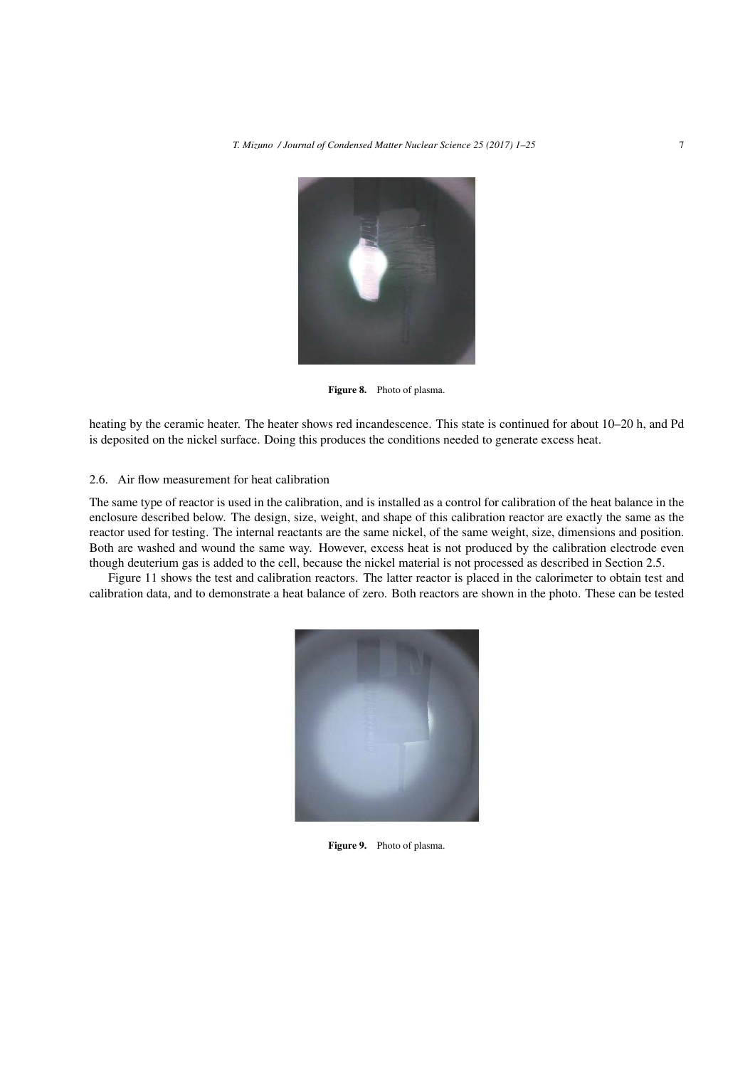

Figure 8. Photo of plasma.

heating by the ceramic heater. The heater shows red incandescence. This state is continued for about 10–20 h, and Pd is deposited on the nickel surface. Doing this produces the conditions needed to generate excess heat.

#### 2.6. Air flow measurement for heat calibration

The same type of reactor is used in the calibration, and is installed as a control for calibration of the heat balance in the enclosure described below. The design, size, weight, and shape of this calibration reactor are exactly the same as the reactor used for testing. The internal reactants are the same nickel, of the same weight, size, dimensions and position. Both are washed and wound the same way. However, excess heat is not produced by the calibration electrode even though deuterium gas is added to the cell, because the nickel material is not processed as described in Section 2.5.

Figure 11 shows the test and calibration reactors. The latter reactor is placed in the calorimeter to obtain test and calibration data, and to demonstrate a heat balance of zero. Both reactors are shown in the photo. These can be tested



Figure 9. Photo of plasma.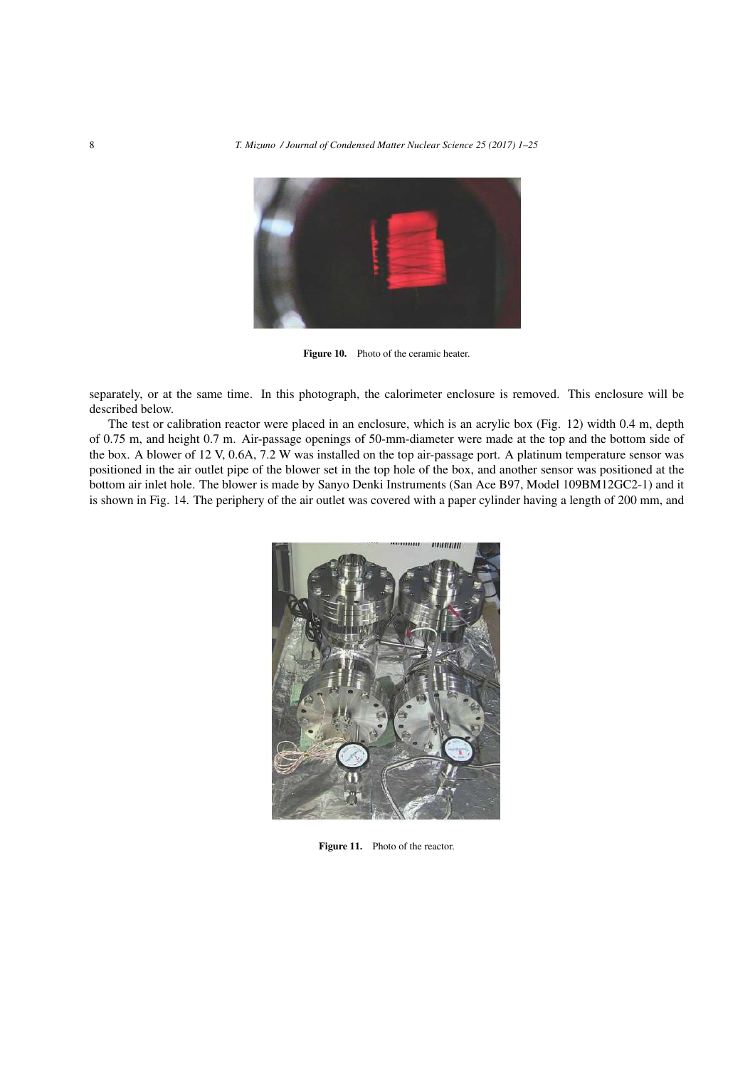

Figure 10. Photo of the ceramic heater.

separately, or at the same time. In this photograph, the calorimeter enclosure is removed. This enclosure will be described below.

The test or calibration reactor were placed in an enclosure, which is an acrylic box (Fig. 12) width 0.4 m, depth of 0.75 m, and height 0.7 m. Air-passage openings of 50-mm-diameter were made at the top and the bottom side of the box. A blower of 12 V, 0.6A, 7.2 W was installed on the top air-passage port. A platinum temperature sensor was positioned in the air outlet pipe of the blower set in the top hole of the box, and another sensor was positioned at the bottom air inlet hole. The blower is made by Sanyo Denki Instruments (San Ace B97, Model 109BM12GC2-1) and it is shown in Fig. 14. The periphery of the air outlet was covered with a paper cylinder having a length of 200 mm, and



Figure 11. Photo of the reactor.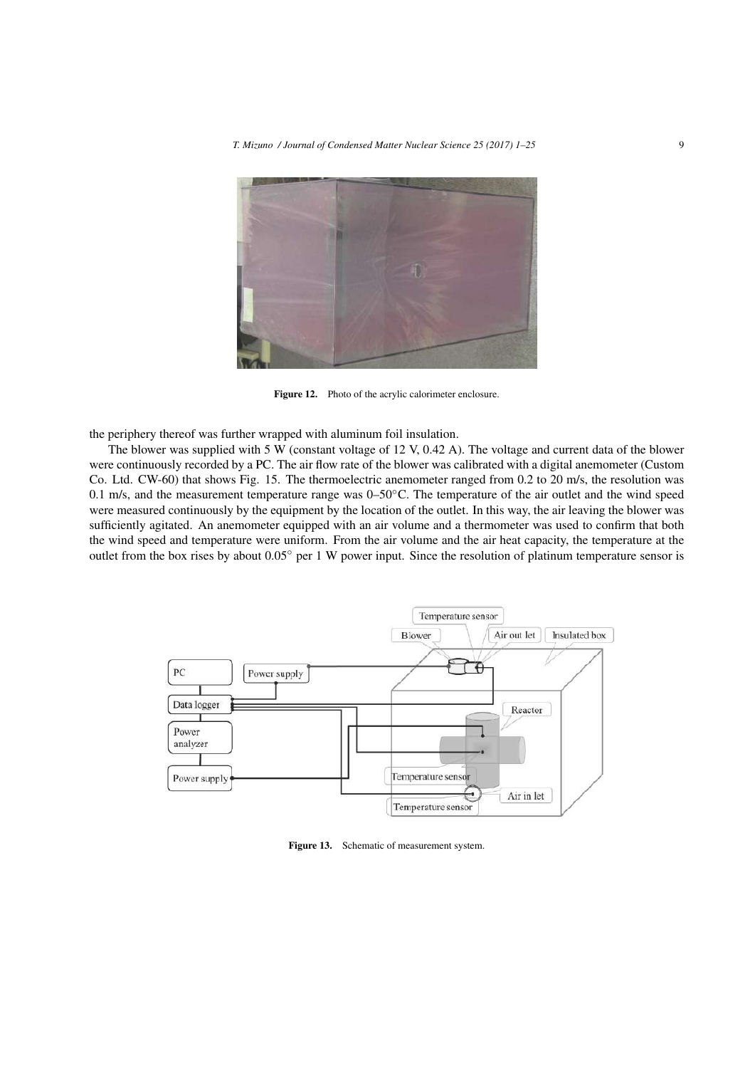

Figure 12. Photo of the acrylic calorimeter enclosure.

the periphery thereof was further wrapped with aluminum foil insulation.

The blower was supplied with 5 W (constant voltage of 12 V, 0.42 A). The voltage and current data of the blower were continuously recorded by a PC. The air flow rate of the blower was calibrated with a digital anemometer (Custom Co. Ltd. CW-60) that shows Fig. 15. The thermoelectric anemometer ranged from 0.2 to 20 m/s, the resolution was 0.1 m/s, and the measurement temperature range was 0–50*◦*C. The temperature of the air outlet and the wind speed were measured continuously by the equipment by the location of the outlet. In this way, the air leaving the blower was sufficiently agitated. An anemometer equipped with an air volume and a thermometer was used to confirm that both the wind speed and temperature were uniform. From the air volume and the air heat capacity, the temperature at the outlet from the box rises by about 0.05*◦* per 1 W power input. Since the resolution of platinum temperature sensor is



Figure 13. Schematic of measurement system.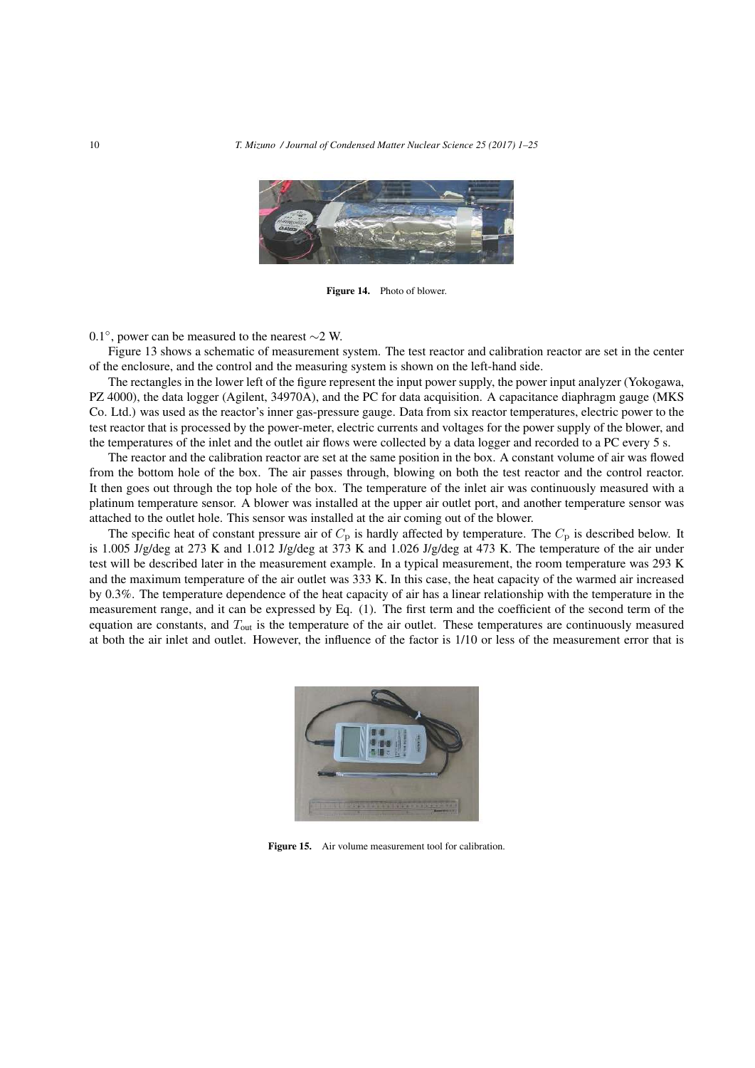

Figure 14. Photo of blower.

0.1*◦* , power can be measured to the nearest *∼*2 W.

Figure 13 shows a schematic of measurement system. The test reactor and calibration reactor are set in the center of the enclosure, and the control and the measuring system is shown on the left-hand side.

The rectangles in the lower left of the figure represent the input power supply, the power input analyzer (Yokogawa, PZ 4000), the data logger (Agilent, 34970A), and the PC for data acquisition. A capacitance diaphragm gauge (MKS Co. Ltd.) was used as the reactor's inner gas-pressure gauge. Data from six reactor temperatures, electric power to the test reactor that is processed by the power-meter, electric currents and voltages for the power supply of the blower, and the temperatures of the inlet and the outlet air flows were collected by a data logger and recorded to a PC every 5 s.

The reactor and the calibration reactor are set at the same position in the box. A constant volume of air was flowed from the bottom hole of the box. The air passes through, blowing on both the test reactor and the control reactor. It then goes out through the top hole of the box. The temperature of the inlet air was continuously measured with a platinum temperature sensor. A blower was installed at the upper air outlet port, and another temperature sensor was attached to the outlet hole. This sensor was installed at the air coming out of the blower.

The specific heat of constant pressure air of  $C_p$  is hardly affected by temperature. The  $C_p$  is described below. It is 1.005 J/g/deg at 273 K and 1.012 J/g/deg at 373 K and 1.026 J/g/deg at 473 K. The temperature of the air under test will be described later in the measurement example. In a typical measurement, the room temperature was 293 K and the maximum temperature of the air outlet was 333 K. In this case, the heat capacity of the warmed air increased by 0.3%. The temperature dependence of the heat capacity of air has a linear relationship with the temperature in the measurement range, and it can be expressed by Eq. (1). The first term and the coefficient of the second term of the equation are constants, and *T*out is the temperature of the air outlet. These temperatures are continuously measured at both the air inlet and outlet. However, the influence of the factor is 1/10 or less of the measurement error that is



Figure 15. Air volume measurement tool for calibration.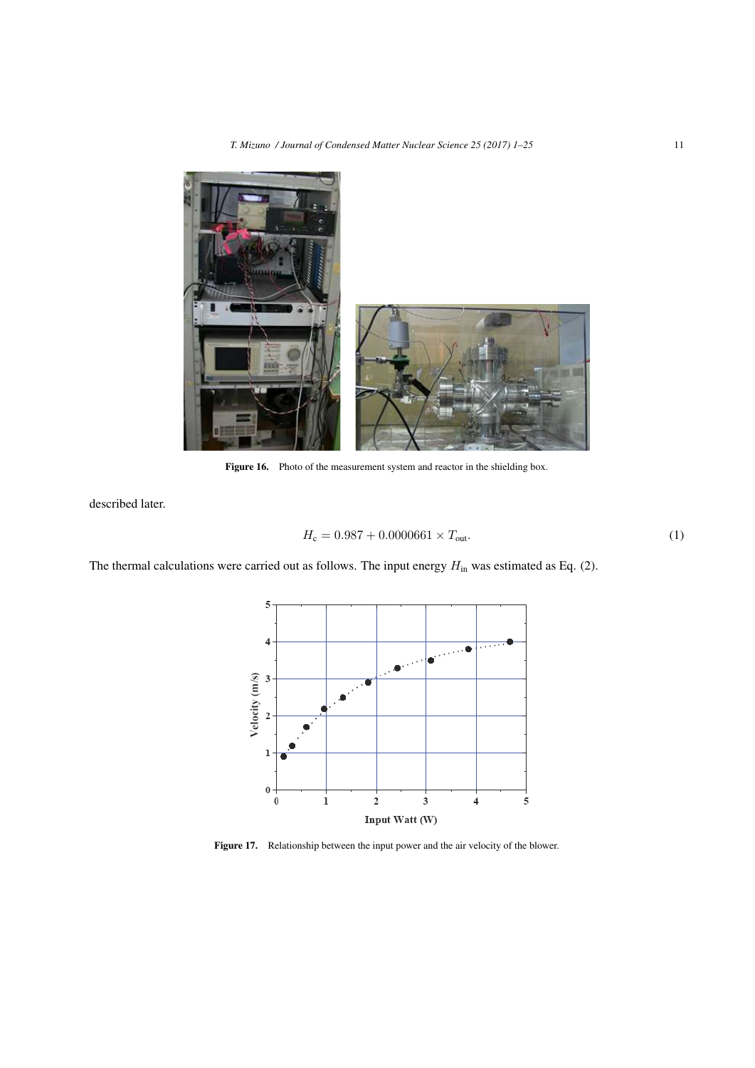

Figure 16. Photo of the measurement system and reactor in the shielding box.

described later.

$$
H_{\rm c} = 0.987 + 0.0000661 \times T_{\rm out}.
$$
 (1)

The thermal calculations were carried out as follows. The input energy  $H_{\text{in}}$  was estimated as Eq. (2).



Figure 17. Relationship between the input power and the air velocity of the blower.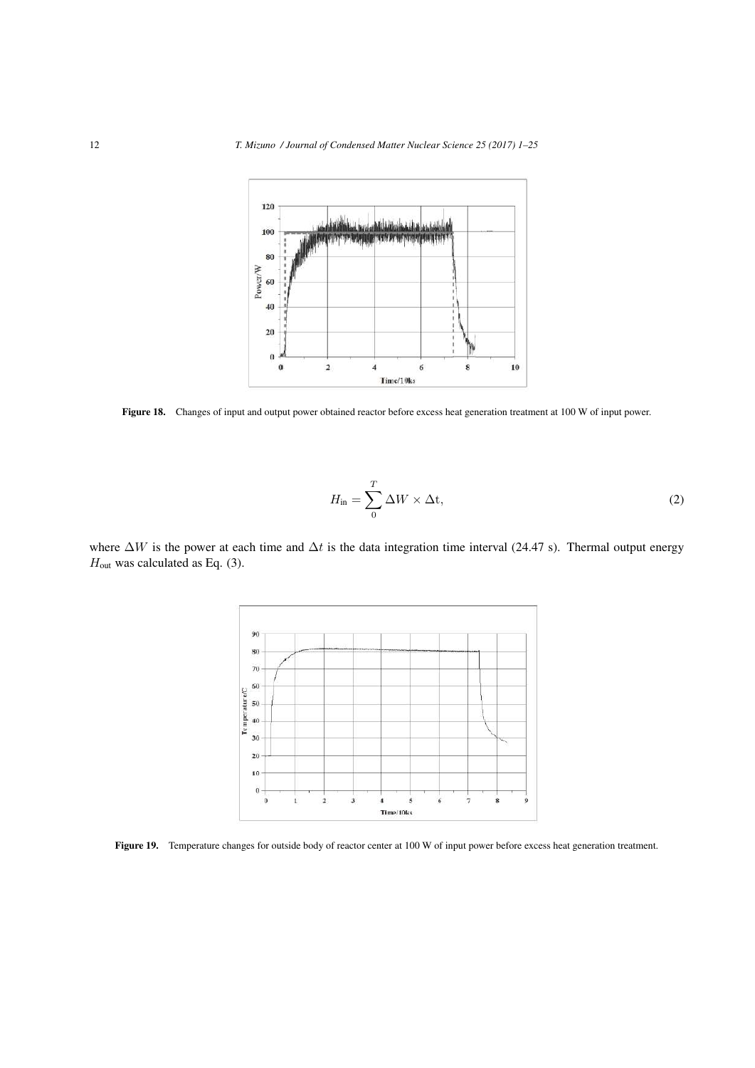

Figure 18. Changes of input and output power obtained reactor before excess heat generation treatment at 100 W of input power.

$$
H_{\rm in} = \sum_{0}^{T} \Delta W \times \Delta t,\tag{2}
$$

where ∆*W* is the power at each time and ∆*t* is the data integration time interval (24.47 s). Thermal output energy *H*<sub>out</sub> was calculated as Eq. (3).



Figure 19. Temperature changes for outside body of reactor center at 100 W of input power before excess heat generation treatment.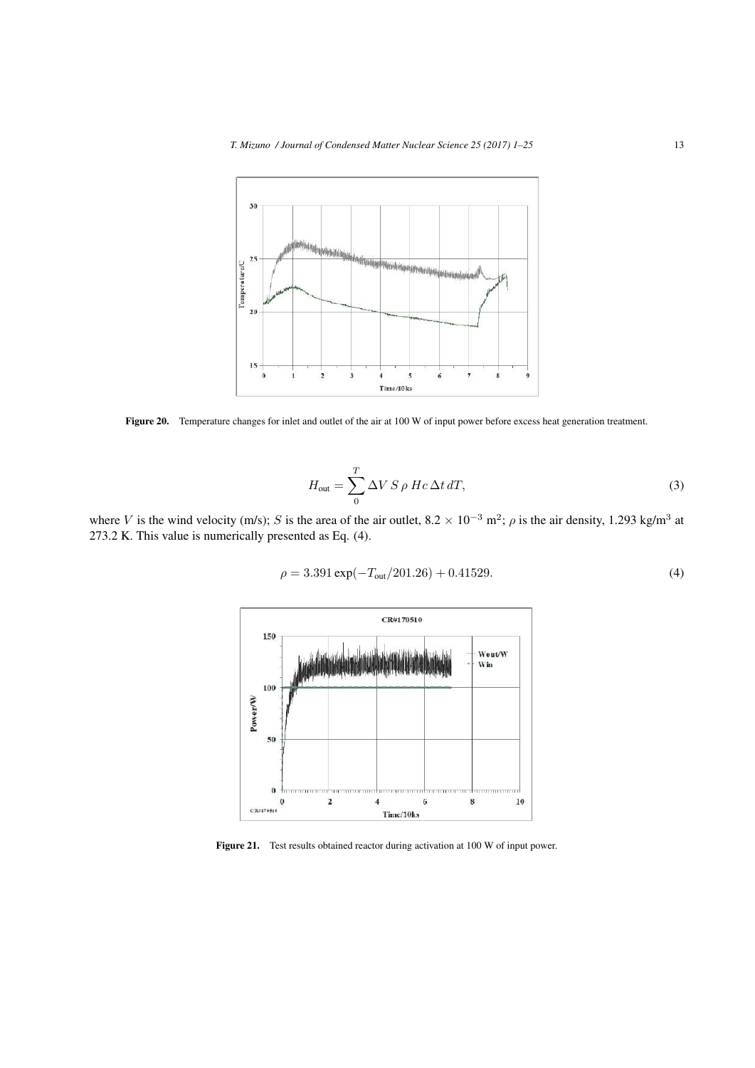

Figure 20. Temperature changes for inlet and outlet of the air at 100 W of input power before excess heat generation treatment.

$$
H_{\text{out}} = \sum_{0}^{T} \Delta V \, S \, \rho \, Hc \, \Delta t \, dT,\tag{3}
$$

where *V* is the wind velocity (m/s); *S* is the area of the air outlet,  $8.2 \times 10^{-3}$  m<sup>2</sup>;  $\rho$  is the air density, 1.293 kg/m<sup>3</sup> at 273.2 K. This value is numerically presented as Eq. (4).

$$
\rho = 3.391 \exp(-T_{\text{out}}/201.26) + 0.41529. \tag{4}
$$



Figure 21. Test results obtained reactor during activation at 100 W of input power.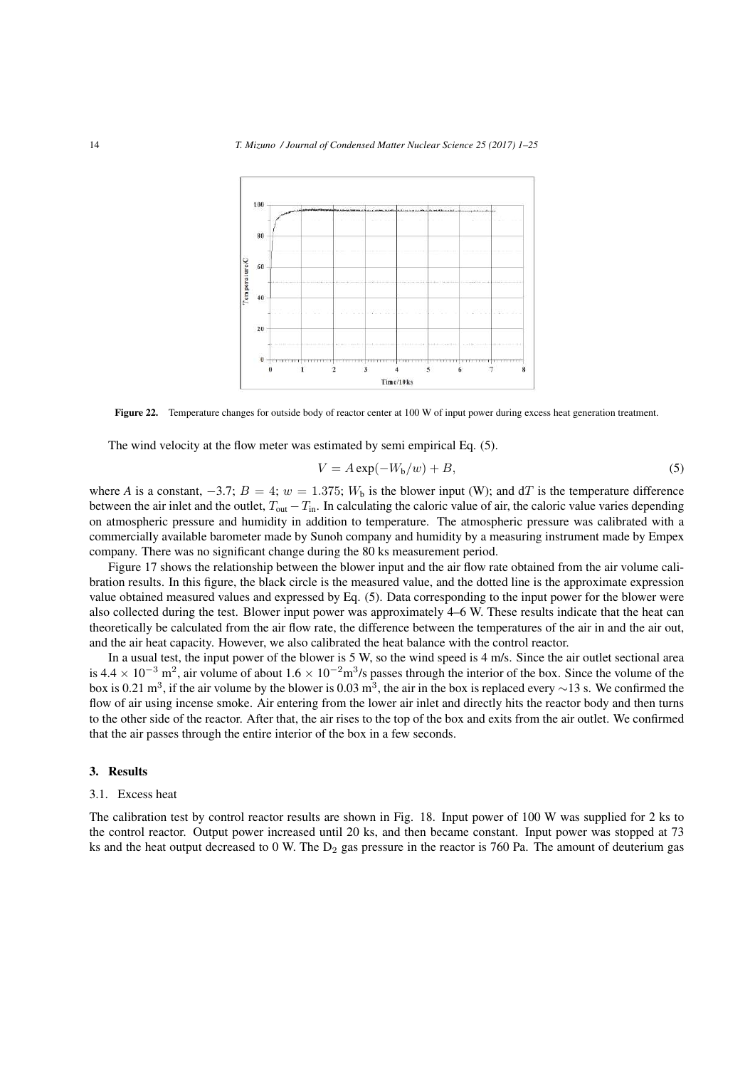

Figure 22. Temperature changes for outside body of reactor center at 100 W of input power during excess heat generation treatment.

The wind velocity at the flow meter was estimated by semi empirical Eq. (5).

$$
V = A \exp(-W_{b}/w) + B,
$$
\n(5)

where *A* is a constant,  $-3.7$ ;  $B = 4$ ;  $w = 1.375$ ;  $W<sub>b</sub>$  is the blower input (W); and dT is the temperature difference between the air inlet and the outlet, *T*out *−T*in. In calculating the caloric value of air, the caloric value varies depending on atmospheric pressure and humidity in addition to temperature. The atmospheric pressure was calibrated with a commercially available barometer made by Sunoh company and humidity by a measuring instrument made by Empex company. There was no significant change during the 80 ks measurement period.

Figure 17 shows the relationship between the blower input and the air flow rate obtained from the air volume calibration results. In this figure, the black circle is the measured value, and the dotted line is the approximate expression value obtained measured values and expressed by Eq. (5). Data corresponding to the input power for the blower were also collected during the test. Blower input power was approximately 4–6 W. These results indicate that the heat can theoretically be calculated from the air flow rate, the difference between the temperatures of the air in and the air out, and the air heat capacity. However, we also calibrated the heat balance with the control reactor.

In a usual test, the input power of the blower is 5 W, so the wind speed is 4 m/s. Since the air outlet sectional area is  $4.4 \times 10^{-3}$  m<sup>2</sup>, air volume of about  $1.6 \times 10^{-2}$  m<sup>3</sup>/s passes through the interior of the box. Since the volume of the box is 0.21 m<sup>3</sup>, if the air volume by the blower is 0.03 m<sup>3</sup>, the air in the box is replaced every  $\sim$ 13 s. We confirmed the flow of air using incense smoke. Air entering from the lower air inlet and directly hits the reactor body and then turns to the other side of the reactor. After that, the air rises to the top of the box and exits from the air outlet. We confirmed that the air passes through the entire interior of the box in a few seconds.

#### 3. Results

#### 3.1. Excess heat

The calibration test by control reactor results are shown in Fig. 18. Input power of 100 W was supplied for 2 ks to the control reactor. Output power increased until 20 ks, and then became constant. Input power was stopped at 73 ks and the heat output decreased to 0 W. The  $D_2$  gas pressure in the reactor is 760 Pa. The amount of deuterium gas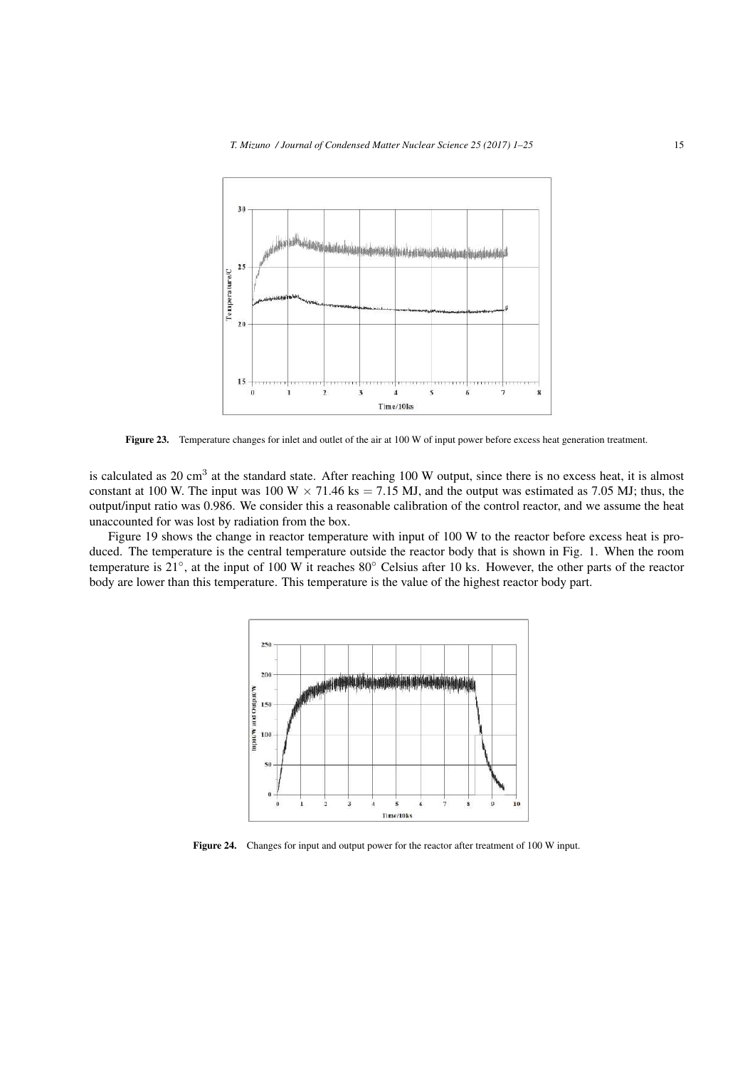

Figure 23. Temperature changes for inlet and outlet of the air at 100 W of input power before excess heat generation treatment.

is calculated as 20 cm<sup>3</sup> at the standard state. After reaching 100 W output, since there is no excess heat, it is almost constant at 100 W. The input was 100 W  $\times$  71.46 ks = 7.15 MJ, and the output was estimated as 7.05 MJ; thus, the output/input ratio was 0.986. We consider this a reasonable calibration of the control reactor, and we assume the heat unaccounted for was lost by radiation from the box.

Figure 19 shows the change in reactor temperature with input of 100 W to the reactor before excess heat is produced. The temperature is the central temperature outside the reactor body that is shown in Fig. 1. When the room temperature is 21*◦* , at the input of 100 W it reaches 80*◦* Celsius after 10 ks. However, the other parts of the reactor body are lower than this temperature. This temperature is the value of the highest reactor body part.



Figure 24. Changes for input and output power for the reactor after treatment of 100 W input.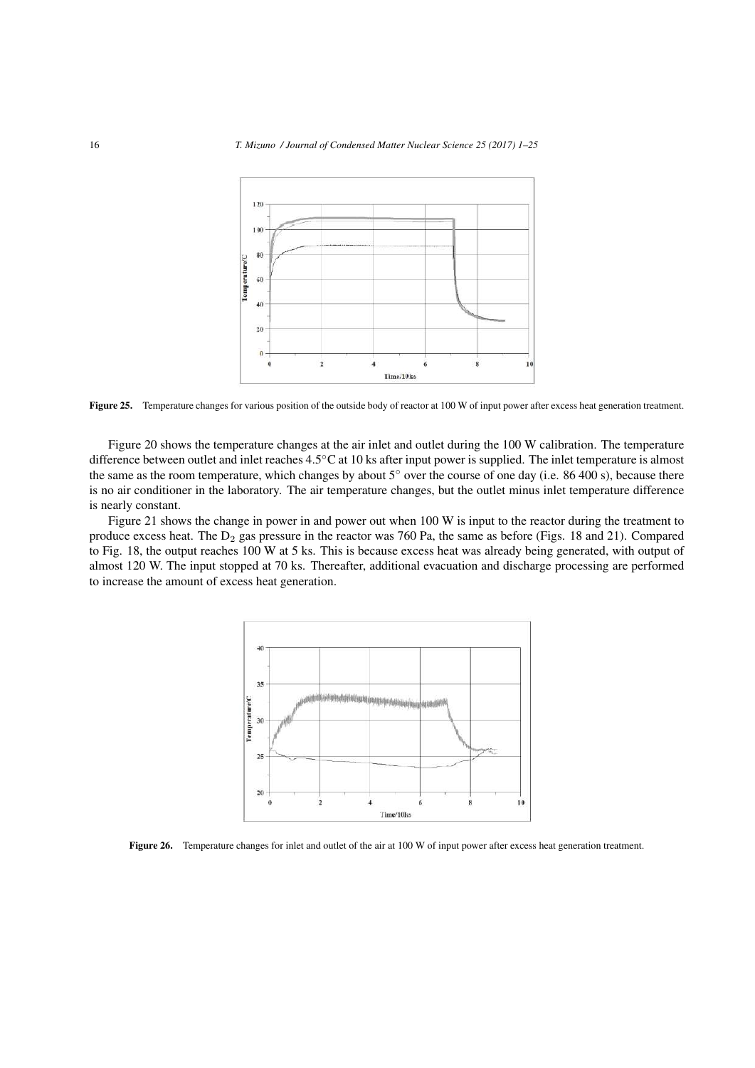

Figure 25. Temperature changes for various position of the outside body of reactor at 100 W of input power after excess heat generation treatment.

Figure 20 shows the temperature changes at the air inlet and outlet during the 100 W calibration. The temperature difference between outlet and inlet reaches 4.5*◦*C at 10 ks after input power is supplied. The inlet temperature is almost the same as the room temperature, which changes by about 5*◦* over the course of one day (i.e. 86 400 s), because there is no air conditioner in the laboratory. The air temperature changes, but the outlet minus inlet temperature difference is nearly constant.

Figure 21 shows the change in power in and power out when 100 W is input to the reactor during the treatment to produce excess heat. The  $D_2$  gas pressure in the reactor was 760 Pa, the same as before (Figs. 18 and 21). Compared to Fig. 18, the output reaches 100 W at 5 ks. This is because excess heat was already being generated, with output of almost 120 W. The input stopped at 70 ks. Thereafter, additional evacuation and discharge processing are performed to increase the amount of excess heat generation.



Figure 26. Temperature changes for inlet and outlet of the air at 100 W of input power after excess heat generation treatment.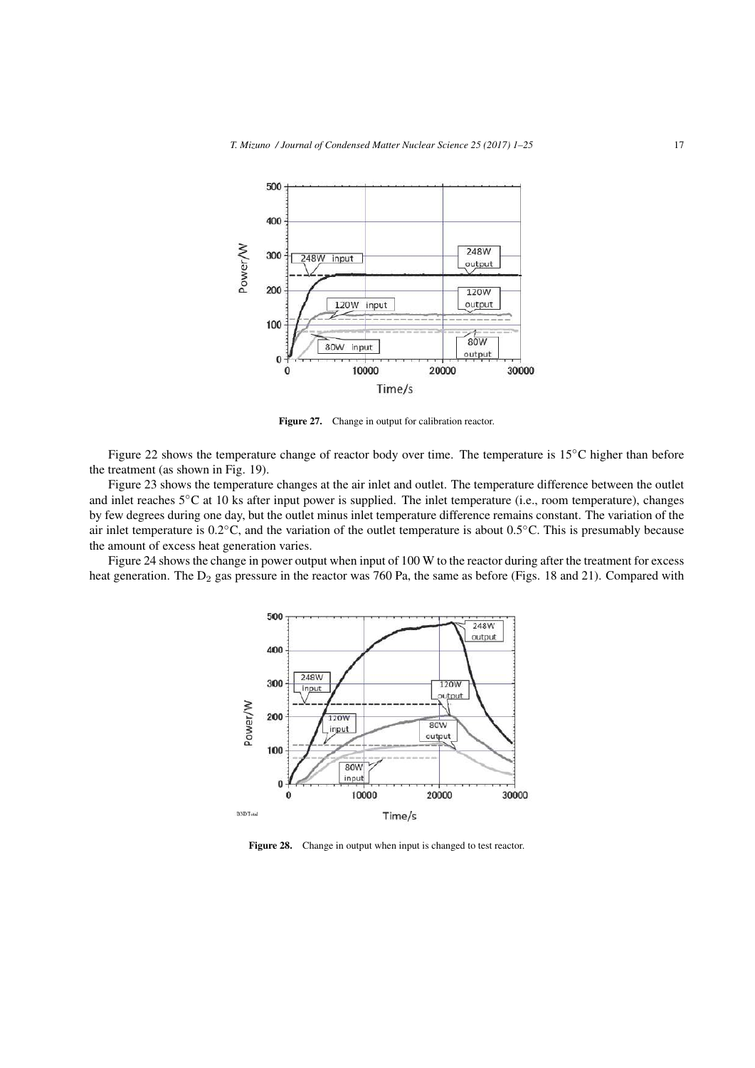

Figure 27. Change in output for calibration reactor.

Figure 22 shows the temperature change of reactor body over time. The temperature is 15*◦*C higher than before the treatment (as shown in Fig. 19).

Figure 23 shows the temperature changes at the air inlet and outlet. The temperature difference between the outlet and inlet reaches 5*◦*C at 10 ks after input power is supplied. The inlet temperature (i.e., room temperature), changes by few degrees during one day, but the outlet minus inlet temperature difference remains constant. The variation of the air inlet temperature is 0.2*◦*C, and the variation of the outlet temperature is about 0.5*◦*C. This is presumably because the amount of excess heat generation varies.

Figure 24 shows the change in power output when input of 100 W to the reactor during after the treatment for excess heat generation. The  $D_2$  gas pressure in the reactor was 760 Pa, the same as before (Figs. 18 and 21). Compared with



Figure 28. Change in output when input is changed to test reactor.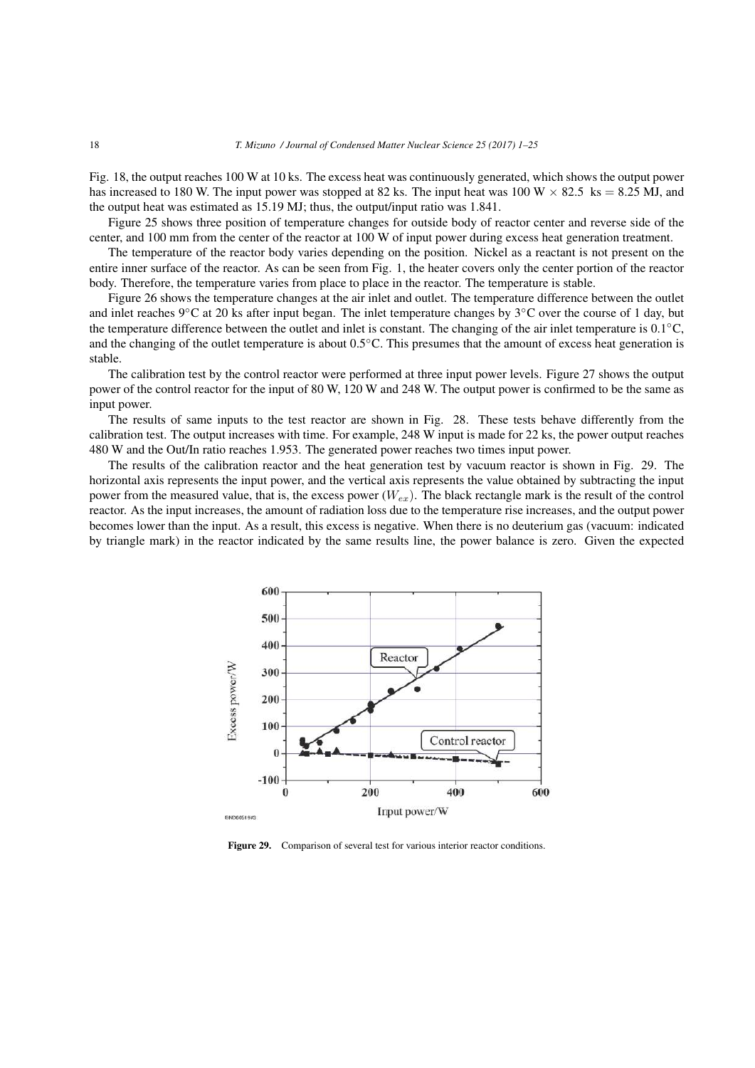Fig. 18, the output reaches 100 W at 10 ks. The excess heat was continuously generated, which shows the output power has increased to 180 W. The input power was stopped at 82 ks. The input heat was 100 W  $\times$  82.5 ks = 8.25 MJ, and the output heat was estimated as 15.19 MJ; thus, the output/input ratio was 1.841.

Figure 25 shows three position of temperature changes for outside body of reactor center and reverse side of the center, and 100 mm from the center of the reactor at 100 W of input power during excess heat generation treatment.

The temperature of the reactor body varies depending on the position. Nickel as a reactant is not present on the entire inner surface of the reactor. As can be seen from Fig. 1, the heater covers only the center portion of the reactor body. Therefore, the temperature varies from place to place in the reactor. The temperature is stable.

Figure 26 shows the temperature changes at the air inlet and outlet. The temperature difference between the outlet and inlet reaches 9*◦*C at 20 ks after input began. The inlet temperature changes by 3*◦*C over the course of 1 day, but the temperature difference between the outlet and inlet is constant. The changing of the air inlet temperature is 0.1*◦*C, and the changing of the outlet temperature is about 0.5*◦*C. This presumes that the amount of excess heat generation is stable.

The calibration test by the control reactor were performed at three input power levels. Figure 27 shows the output power of the control reactor for the input of 80 W, 120 W and 248 W. The output power is confirmed to be the same as input power.

The results of same inputs to the test reactor are shown in Fig. 28. These tests behave differently from the calibration test. The output increases with time. For example, 248 W input is made for 22 ks, the power output reaches 480 W and the Out/In ratio reaches 1.953. The generated power reaches two times input power.

The results of the calibration reactor and the heat generation test by vacuum reactor is shown in Fig. 29. The horizontal axis represents the input power, and the vertical axis represents the value obtained by subtracting the input power from the measured value, that is, the excess power (*Wex*). The black rectangle mark is the result of the control reactor. As the input increases, the amount of radiation loss due to the temperature rise increases, and the output power becomes lower than the input. As a result, this excess is negative. When there is no deuterium gas (vacuum: indicated by triangle mark) in the reactor indicated by the same results line, the power balance is zero. Given the expected



Figure 29. Comparison of several test for various interior reactor conditions.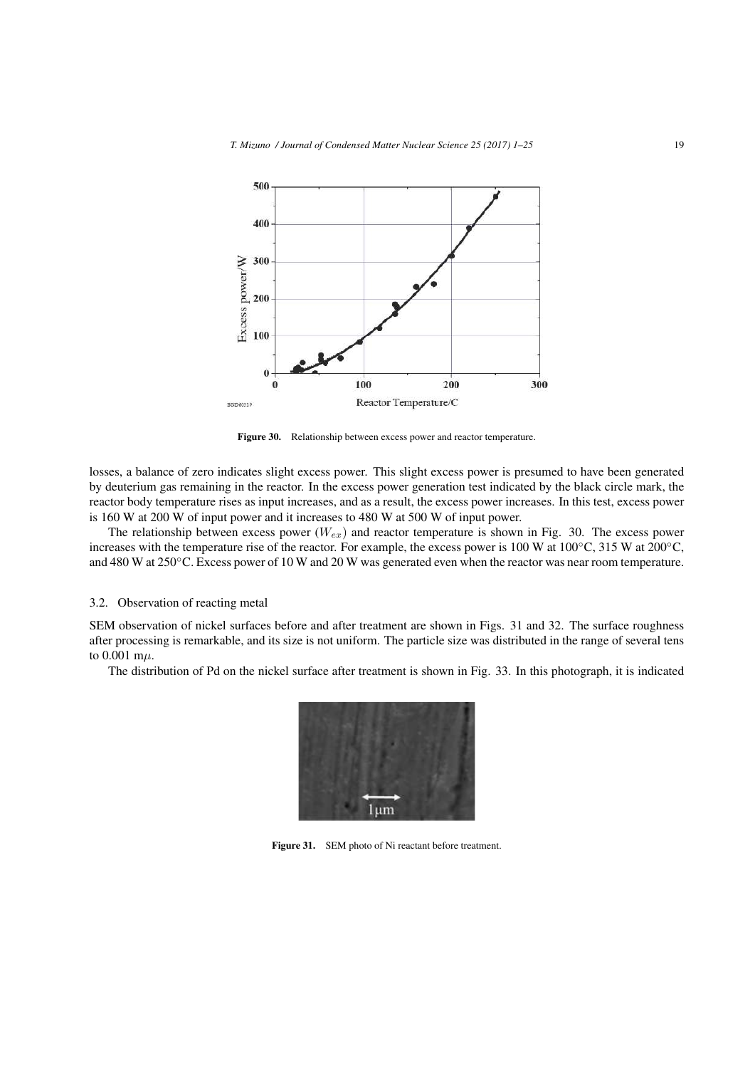

Figure 30. Relationship between excess power and reactor temperature.

losses, a balance of zero indicates slight excess power. This slight excess power is presumed to have been generated by deuterium gas remaining in the reactor. In the excess power generation test indicated by the black circle mark, the reactor body temperature rises as input increases, and as a result, the excess power increases. In this test, excess power is 160 W at 200 W of input power and it increases to 480 W at 500 W of input power.

The relationship between excess power (*Wex*) and reactor temperature is shown in Fig. 30. The excess power increases with the temperature rise of the reactor. For example, the excess power is 100 W at 100*◦*C, 315 W at 200*◦*C, and 480 W at 250*◦*C. Excess power of 10 W and 20 W was generated even when the reactor was near room temperature.

## 3.2. Observation of reacting metal

SEM observation of nickel surfaces before and after treatment are shown in Figs. 31 and 32. The surface roughness after processing is remarkable, and its size is not uniform. The particle size was distributed in the range of several tens to 0.001 m*µ*.

The distribution of Pd on the nickel surface after treatment is shown in Fig. 33. In this photograph, it is indicated



Figure 31. SEM photo of Ni reactant before treatment.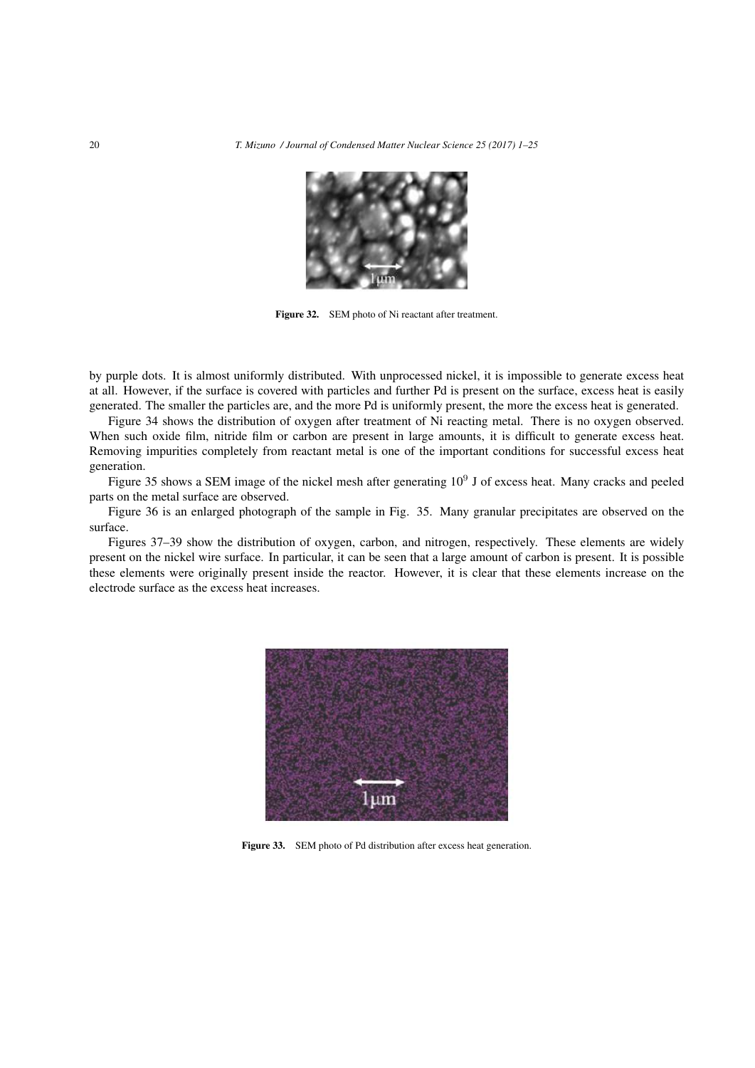

Figure 32. SEM photo of Ni reactant after treatment.

by purple dots. It is almost uniformly distributed. With unprocessed nickel, it is impossible to generate excess heat at all. However, if the surface is covered with particles and further Pd is present on the surface, excess heat is easily generated. The smaller the particles are, and the more Pd is uniformly present, the more the excess heat is generated.

Figure 34 shows the distribution of oxygen after treatment of Ni reacting metal. There is no oxygen observed. When such oxide film, nitride film or carbon are present in large amounts, it is difficult to generate excess heat. Removing impurities completely from reactant metal is one of the important conditions for successful excess heat generation.

Figure 35 shows a SEM image of the nickel mesh after generating 10<sup>9</sup> J of excess heat. Many cracks and peeled parts on the metal surface are observed.

Figure 36 is an enlarged photograph of the sample in Fig. 35. Many granular precipitates are observed on the surface.

Figures 37–39 show the distribution of oxygen, carbon, and nitrogen, respectively. These elements are widely present on the nickel wire surface. In particular, it can be seen that a large amount of carbon is present. It is possible these elements were originally present inside the reactor. However, it is clear that these elements increase on the electrode surface as the excess heat increases.



Figure 33. SEM photo of Pd distribution after excess heat generation.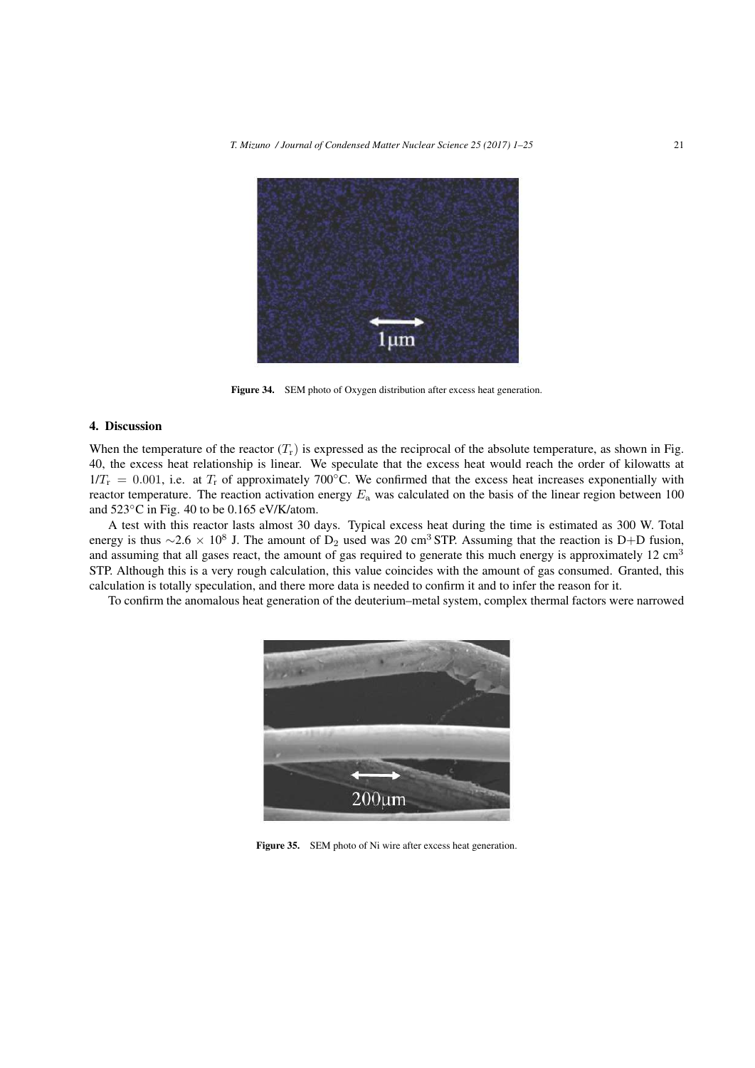

Figure 34. SEM photo of Oxygen distribution after excess heat generation.

#### 4. Discussion

When the temperature of the reactor  $(T_r)$  is expressed as the reciprocal of the absolute temperature, as shown in Fig. 40, the excess heat relationship is linear. We speculate that the excess heat would reach the order of kilowatts at  $1/T_r = 0.001$ , i.e. at  $T_r$  of approximately 700<sup>°</sup>C. We confirmed that the excess heat increases exponentially with reactor temperature. The reaction activation energy *E*<sup>a</sup> was calculated on the basis of the linear region between 100 and 523*◦*C in Fig. 40 to be 0.165 eV/K/atom.

A test with this reactor lasts almost 30 days. Typical excess heat during the time is estimated as 300 W. Total energy is thus  $\sim$ 2.6 × 10<sup>8</sup> J. The amount of D<sub>2</sub> used was 20 cm<sup>3</sup> STP. Assuming that the reaction is D+D fusion, and assuming that all gases react, the amount of gas required to generate this much energy is approximately  $12 \text{ cm}^3$ STP. Although this is a very rough calculation, this value coincides with the amount of gas consumed. Granted, this calculation is totally speculation, and there more data is needed to confirm it and to infer the reason for it.

To confirm the anomalous heat generation of the deuterium–metal system, complex thermal factors were narrowed



Figure 35. SEM photo of Ni wire after excess heat generation.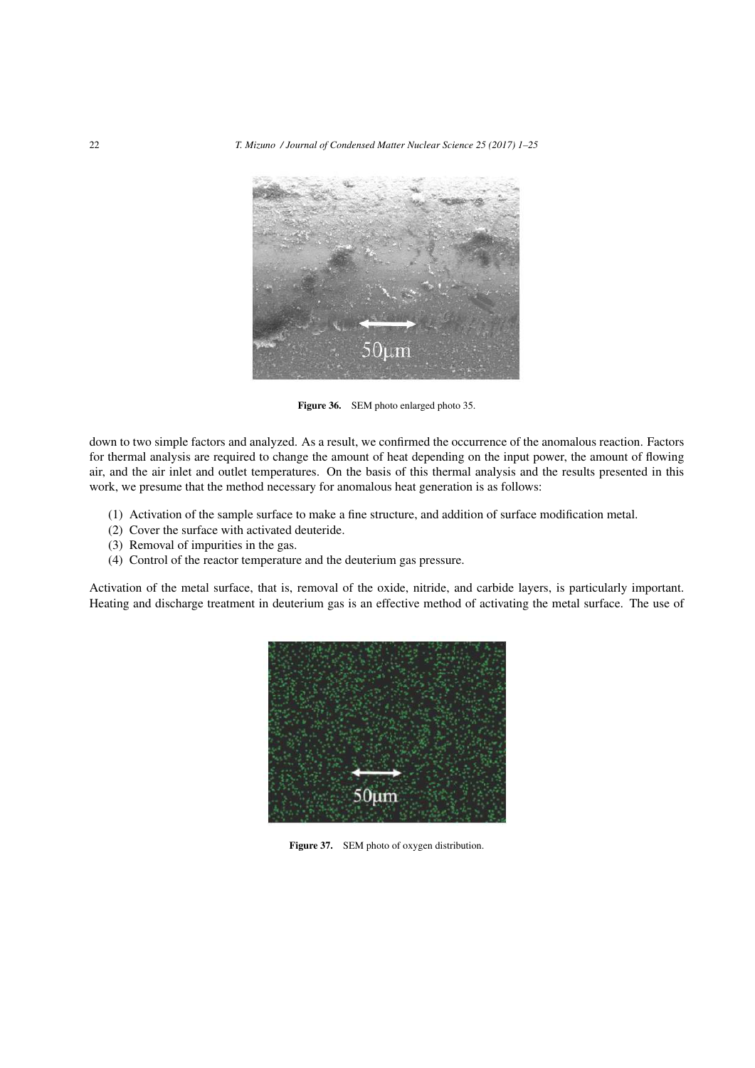

Figure 36. SEM photo enlarged photo 35.

down to two simple factors and analyzed. As a result, we confirmed the occurrence of the anomalous reaction. Factors for thermal analysis are required to change the amount of heat depending on the input power, the amount of flowing air, and the air inlet and outlet temperatures. On the basis of this thermal analysis and the results presented in this work, we presume that the method necessary for anomalous heat generation is as follows:

- (1) Activation of the sample surface to make a fine structure, and addition of surface modification metal.
- (2) Cover the surface with activated deuteride.
- (3) Removal of impurities in the gas.
- (4) Control of the reactor temperature and the deuterium gas pressure.

Activation of the metal surface, that is, removal of the oxide, nitride, and carbide layers, is particularly important. Heating and discharge treatment in deuterium gas is an effective method of activating the metal surface. The use of



Figure 37. SEM photo of oxygen distribution.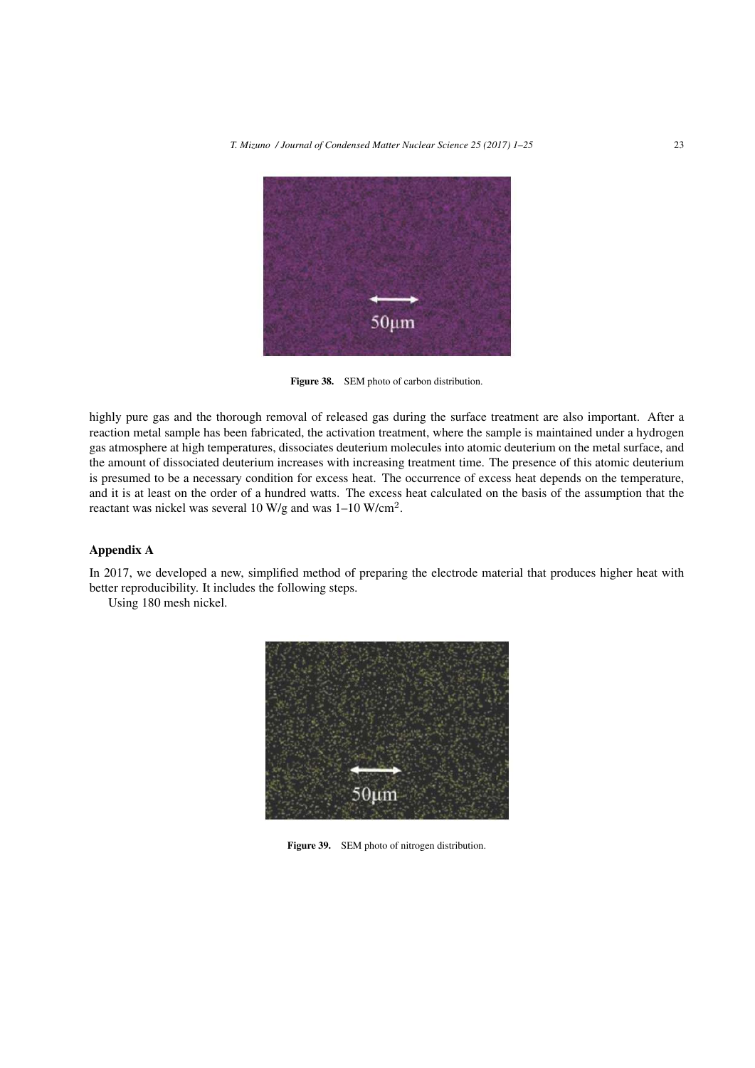

Figure 38. SEM photo of carbon distribution.

highly pure gas and the thorough removal of released gas during the surface treatment are also important. After a reaction metal sample has been fabricated, the activation treatment, where the sample is maintained under a hydrogen gas atmosphere at high temperatures, dissociates deuterium molecules into atomic deuterium on the metal surface, and the amount of dissociated deuterium increases with increasing treatment time. The presence of this atomic deuterium is presumed to be a necessary condition for excess heat. The occurrence of excess heat depends on the temperature, and it is at least on the order of a hundred watts. The excess heat calculated on the basis of the assumption that the reactant was nickel was several 10 W/g and was  $1-10$  W/cm<sup>2</sup>.

## Appendix A

In 2017, we developed a new, simplified method of preparing the electrode material that produces higher heat with better reproducibility. It includes the following steps.

Using 180 mesh nickel.



Figure 39. SEM photo of nitrogen distribution.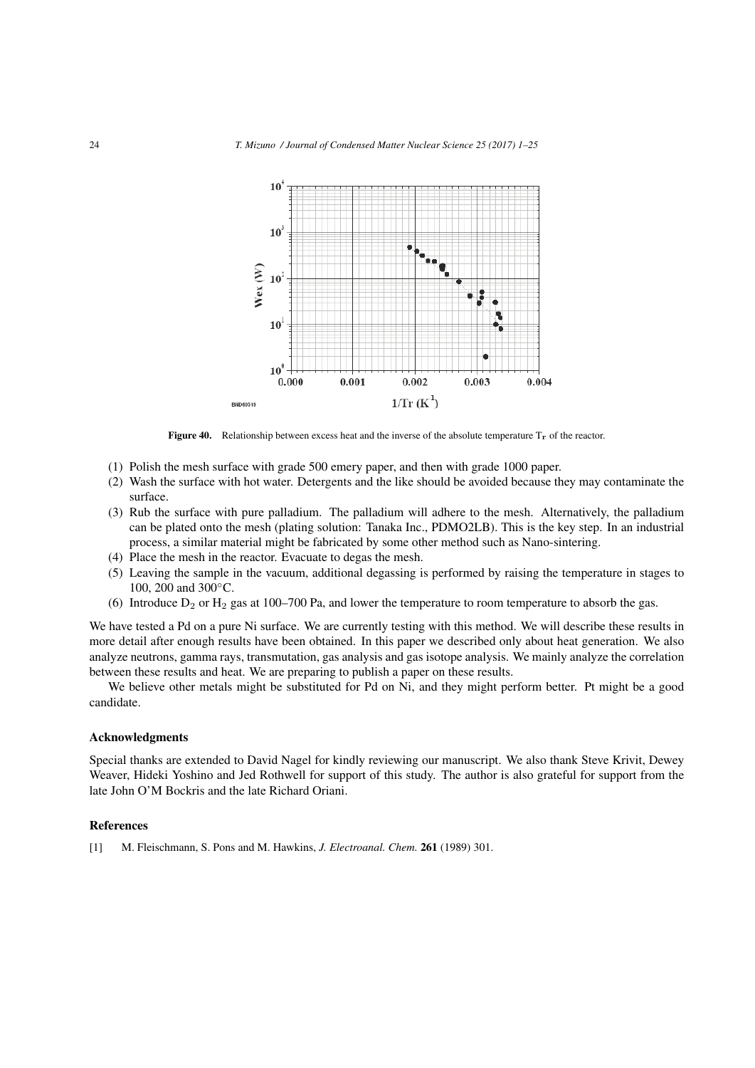

Figure 40. Relationship between excess heat and the inverse of the absolute temperature T**r** of the reactor.

- (1) Polish the mesh surface with grade 500 emery paper, and then with grade 1000 paper.
- (2) Wash the surface with hot water. Detergents and the like should be avoided because they may contaminate the surface.
- (3) Rub the surface with pure palladium. The palladium will adhere to the mesh. Alternatively, the palladium can be plated onto the mesh (plating solution: Tanaka Inc., PDMO2LB). This is the key step. In an industrial process, a similar material might be fabricated by some other method such as Nano-sintering.
- (4) Place the mesh in the reactor. Evacuate to degas the mesh.
- (5) Leaving the sample in the vacuum, additional degassing is performed by raising the temperature in stages to 100, 200 and 300*◦*C.
- (6) Introduce  $D_2$  or  $H_2$  gas at 100–700 Pa, and lower the temperature to room temperature to absorb the gas.

We have tested a Pd on a pure Ni surface. We are currently testing with this method. We will describe these results in more detail after enough results have been obtained. In this paper we described only about heat generation. We also analyze neutrons, gamma rays, transmutation, gas analysis and gas isotope analysis. We mainly analyze the correlation between these results and heat. We are preparing to publish a paper on these results.

We believe other metals might be substituted for Pd on Ni, and they might perform better. Pt might be a good candidate.

#### Acknowledgments

Special thanks are extended to David Nagel for kindly reviewing our manuscript. We also thank Steve Krivit, Dewey Weaver, Hideki Yoshino and Jed Rothwell for support of this study. The author is also grateful for support from the late John O'M Bockris and the late Richard Oriani.

#### References

[1] M. Fleischmann, S. Pons and M. Hawkins, *J. Electroanal. Chem.* 261 (1989) 301.